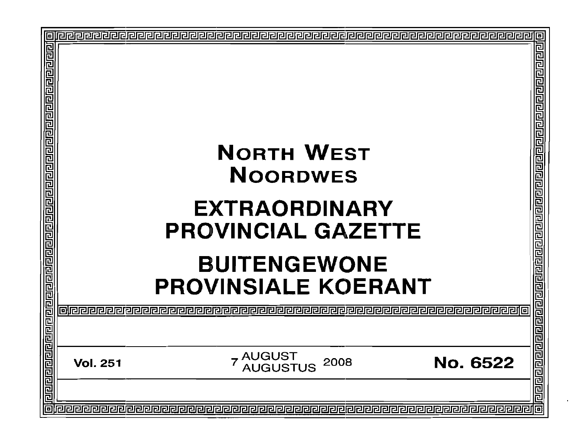| 回 |                                                                                 |                                                             |
|---|---------------------------------------------------------------------------------|-------------------------------------------------------------|
|   | <b>NORTH WEST</b>                                                               | eler                                                        |
|   |                                                                                 |                                                             |
|   | <b>NOORDWES</b>                                                                 |                                                             |
|   | <b>EXTRAORDINARY</b><br><b>PROVINCIAL GAZETTE</b>                               | विर्वाचन कार्यवाद्य कार्यवाद्य विद्यार्थ कार्यवाद्य बाद्य व |
|   | <b>BUITENGEWONE</b>                                                             |                                                             |
|   | <b>PROVINSIALE KOERANT</b>                                                      |                                                             |
|   |                                                                                 |                                                             |
|   |                                                                                 |                                                             |
|   | 7 AUGUST<br><sup>7</sup> AUGUSTUS<br><b>No. 6522</b><br>2008<br><b>Vol. 251</b> |                                                             |
|   |                                                                                 |                                                             |
|   |                                                                                 |                                                             |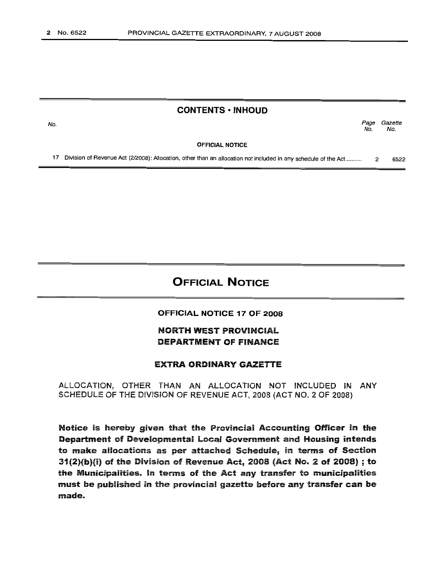## CONTENTS • INHOUD

Page Gazette No. No.

OFFICIAL NOTICE

17 Division of Revenue Act (2/2008): Allocation, other than an allocation not included in any schedule of the Act....... ... 2 6522

# OFFICIAL NOTICE

#### OFFICIAL NOTICE 17 OF 2008

## NORTH WEST PROVINCIAL DEPARTMENT OF FINANCE

### EXTRA ORDINARY GAZETTE

ALLOCATION, OTHER THAN AN ALLOCATION NOT INCLUDED IN ANY SCHEDULE OF THE DIVISION OF REVENUE ACT, 2008 (ACT NO.2 OF 2008)

Notice is hereby given that the Provincial Accounting Officer in the Depariment of Developmental local Government and Housing intends to make allocations as per attached Schedule, in terms of Section  $31(2)(b)(i)$  of the Division of Revenue Act, 2008 (Act No. 2 of 2008); to the Municipalities. in tenns of the Act any transfer to municipalities must be published in the provincial gazette before any transfer can be made.

No.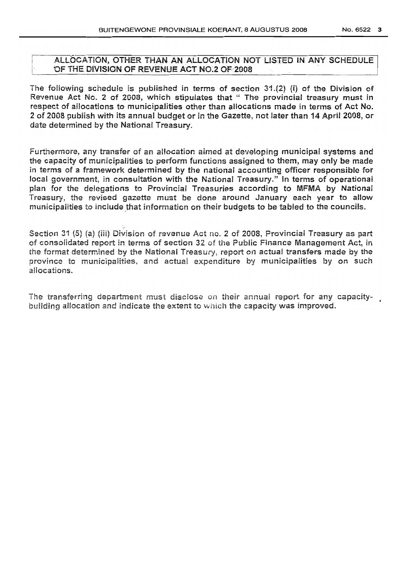### ALLOCATION, OTHER THAN AN ALLOCATION NOT LISTED IN ANY SCHEDULE OF THE DIVISION OF REVENUE ACT NO.2 OF 2008.

The following schedule is published in terms of section  $31.(2)$  (i) of the Division of Revenue Act NO.2 of 2008, which stipulates that" The provincial treasury must in respect of allocations to municipalities other than allocations made in terms of Act No. 2 of 2008 publish with its annual budget or in the Gazette, not later than 14 April 2008, or date determined by the National Treasury.

Furthermore, any transfer of an allocation aimed at developing municipal systems and the capacity of municipalities to perform functions assigned to them, may only be made in terms of a framework determined by the national accounting officer responsible for local government, in consultation with the National Treasury." In terms of operational plan for the delegations to Provincial Treasuries according to MFMA by National Treasury, the revised gazette must be done around January each year to allow municipalities to include that information on their budgets to be tabled to the councils.

Section 31 (5) (a) (iii) Division of revenue Act no. 2 of 2008, Provincial Treasury as part of consolidated report in terms of section 32 of the Public Finance Management Act, in the format determined by the National Treasury, report on actual transfers made by the province to municipalities, and actual expenditure by municipalities by on such allocations.

The transferring department must disclose on their annual report for any capacity- • building allocation and indicate the extent to which the capacity was improved.